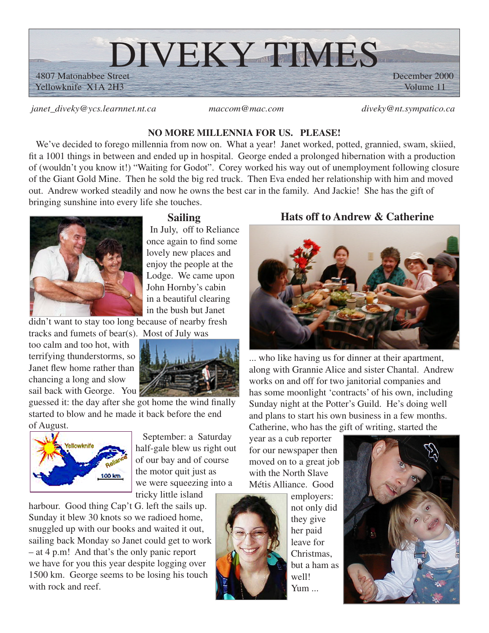

*janet\_diveky@ycs.learnnet.nt.ca maccom@mac.com diveky@nt.sympatico.ca*

### **NO MORE MILLENNIA FOR US. PLEASE!**

We've decided to forego millennia from now on. What a year! Janet worked, potted, grannied, swam, skiied, fit a 1001 things in between and ended up in hospital. George ended a prolonged hibernation with a production of (wouldn't you know it!) "Waiting for Godot". Corey worked his way out of unemployment following closure of the Giant Gold Mine. Then he sold the big red truck. Then Eva ended her relationship with him and moved out. Andrew worked steadily and now he owns the best car in the family. And Jackie! She has the gift of bringing sunshine into every life she touches.



## **Sailing**

In July, off to Reliance once again to find some lovely new places and enjoy the people at the Lodge. We came upon John Hornby's cabin in a beautiful clearing in the bush but Janet

didn't want to stay too long because of nearby fresh tracks and fumets of bear(s). Most of July was

too calm and too hot, with terrifying thunderstorms, so Janet flew home rather than chancing a long and slow sail back with George. You



guessed it: the day after she got home the wind finally started to blow and he made it back before the end of August.



September: a Saturday half-gale blew us right out of our bay and of course the motor quit just as we were squeezing into a tricky little island

harbour. Good thing Cap't G. left the sails up. Sunday it blew 30 knots so we radioed home, snuggled up with our books and waited it out, sailing back Monday so Janet could get to work – at 4 p.m! And that's the only panic report we have for you this year despite logging over 1500 km. George seems to be losing his touch with rock and reef.

# **Hats off to Andrew & Catherine**



... who like having us for dinner at their apartment, along with Grannie Alice and sister Chantal. Andrew works on and off for two janitorial companies and has some moonlight 'contracts' of his own, including Sunday night at the Potter's Guild. He's doing well and plans to start his own business in a few months. Catherine, who has the gift of writing, started the

year as a cub reporter for our newspaper then moved on to a great job with the North Slave Métis Alliance. Good



employers: not only did they give her paid leave for Christmas, but a ham as well! Yum ...